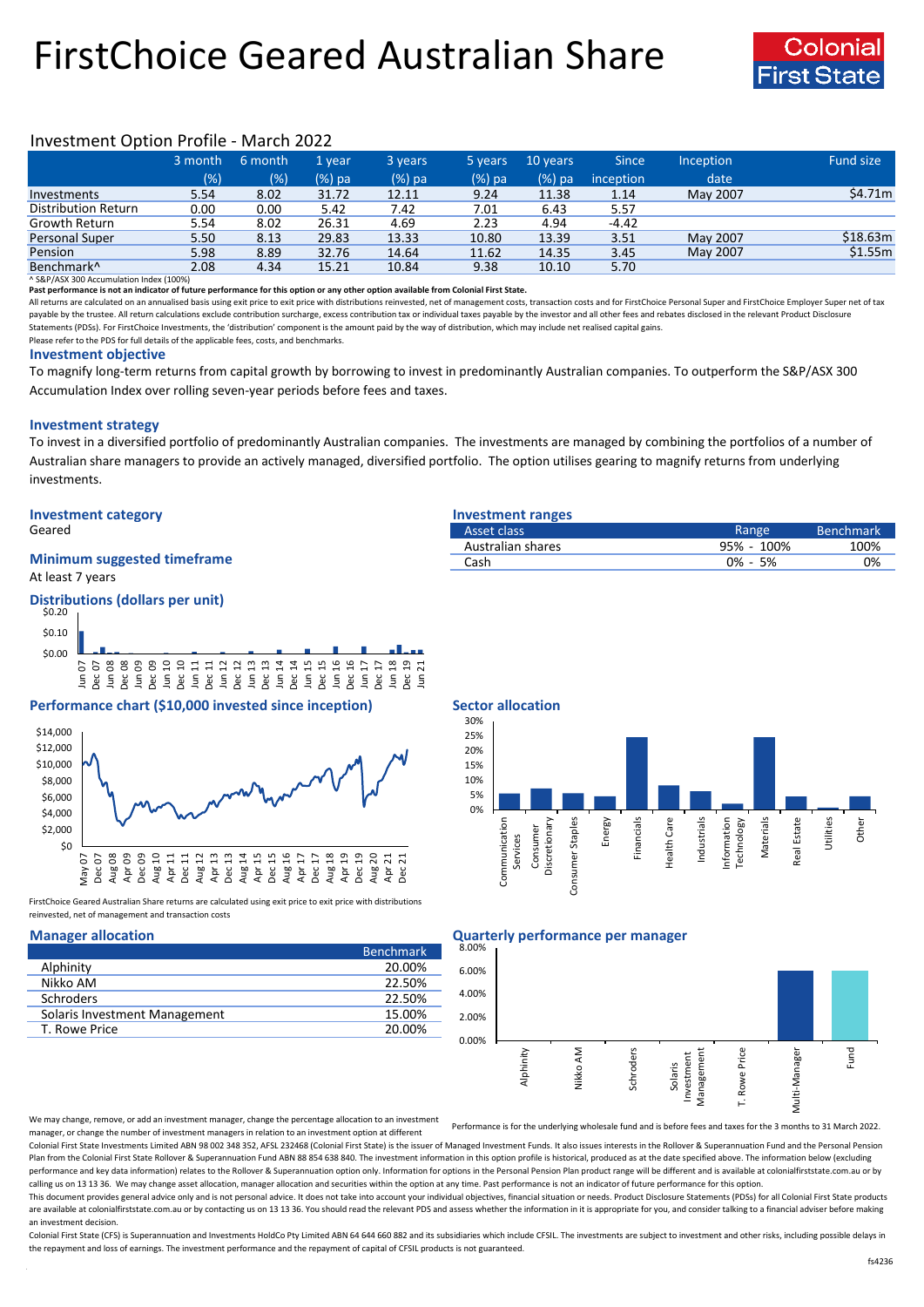# FirstChoice Geared Australian Share



# Investment Option Profile - March 2022

|                        | 3 month | 6 month | '1 vear  | 3 years | 5 years | 10 years | <b>Since</b> | <b>Inception</b> | Fund size |
|------------------------|---------|---------|----------|---------|---------|----------|--------------|------------------|-----------|
|                        | (% )    | (%)     | $(%)$ pa | (%) pa  | (%) pa  | $(%)$ pa | inception    | date             |           |
| Investments            | 5.54    | 8.02    | 31.72    | 12.11   | 9.24    | 11.38    | 1.14         | May 2007         | \$4.71m   |
| Distribution Return    | 0.00    | 0.00    | 5.42     | 7.42    | 7.01    | 6.43     | 5.57         |                  |           |
| <b>Growth Return</b>   | 5.54    | 8.02    | 26.31    | 4.69    | 2.23    | 4.94     | $-4.42$      |                  |           |
| <b>Personal Super</b>  | 5.50    | 8.13    | 29.83    | 13.33   | 10.80   | 13.39    | 3.51         | May 2007         | \$18.63m  |
| Pension                | 5.98    | 8.89    | 32.76    | 14.64   | 11.62   | 14.35    | 3.45         | May 2007         | \$1.55m   |
| Benchmark <sup>^</sup> | 2.08    | 4.34    | 15.21    | 10.84   | 9.38    | 10.10    | 5.70         |                  |           |

^ S&P/ASX 300 Accumulation Index (100%)

**Past performance is not an indicator of future performance for this option or any other option available from Colonial First State.**

All returns are calculated on an annualised basis using exit price to exit price with distributions reinvested, net of management costs, transaction costs and for FirstChoice Personal Super and FirstChoice Employer Super n payable by the trustee. All return calculations exclude contribution surcharge, excess contribution tax or individual taxes payable by the investor and all other fees and rebates disclosed in the relevant Product Disclosur Statements (PDSs). For FirstChoice Investments, the 'distribution' component is the amount paid by the way of distribution, which may include net realised capital gains.

Please refer to the PDS for full details of the applicable fees, costs, and benchmarks.

#### **Investment objective**

To magnify long-term returns from capital growth by borrowing to invest in predominantly Australian companies. To outperform the S&P/ASX 300 Accumulation Index over rolling seven-year periods before fees and taxes.

### **Investment strategy**

To invest in a diversified portfolio of predominantly Australian companies. The investments are managed by combining the portfolios of a number of Australian share managers to provide an actively managed, diversified portfolio. The option utilises gearing to magnify returns from underlying investments.

## **Investment category Investment ranges**

## At least 7 years **Minimum suggested timeframe**

## **Distributions (dollars per unit)**



# **Performance chart (\$10,000 invested since inception)** Sector allocation



FirstChoice Geared Australian Share returns are calculated using exit price to exit price with distributions reinvested, net of management and transaction costs

|                               | <b>Benchmark</b> |
|-------------------------------|------------------|
| Alphinity                     | 20.00%           |
| Nikko AM                      | 22.50%           |
| Schroders                     | 22.50%           |
| Solaris Investment Management | 15.00%           |
| T. Rowe Price                 | 20.00%           |

| Geared                             | Asset class       | Range         | <b>Benchmark</b> |
|------------------------------------|-------------------|---------------|------------------|
|                                    | Australian shares | 100%<br>95% - | 100%             |
| <b>Minimum suggested timeframe</b> | Casł              | 5%<br>$0\%$ - | 0%               |
|                                    |                   |               |                  |



### **Manager allocation Quarterly performance per manager**



We may change, remove, or add an investment manager, change the percentage allocation to an investment manager, or change the number of investment managers in relation to an investment option at different

Performance is for the underlying wholesale fund and is before fees and taxes for the 3 months to 31 March 2022.

Colonial First State Investments Limited ABN 98 002 348 352, AFSL 232468 (Colonial First State) is the issuer of Managed Investment Funds. It also issues interests in the Rollover & Superannuation Fund and the Personal Pen Plan from the Colonial First State Rollover & Superannuation Fund ABN 88 854 638 840. The investment information in this option profile is historical, produced as at the date specified above. The information below (excludi performance and key data information) relates to the Rollover & Superannuation option only. Information for options in the Personal Pension Plan product range will be different and is available at colonialfirststate.com.au calling us on 13 13 36. We may change asset allocation, manager allocation and securities within the option at any time. Past performance is not an indicator of future performance for this option

This document provides general advice only and is not personal advice. It does not take into account your individual objectives, financial situation or needs. Product Disclosure Statements (PDSs) for all Colonial First Sta are available at colonialfirststate.com.au or by contacting us on 13 13 36. You should read the relevant PDS and assess whether the information in it is appropriate for you, and consider talking to a financial adviser befo an investment decision.

Colonial First State (CFS) is Superannuation and Investments HoldCo Ptv Limited ABN 64 644 660 882 and its subsidiaries which include CFSIL. The investments are subject to investment and other risks, including possible del the repayment and loss of earnings. The investment performance and the repayment of capital of CFSIL products is not guaranteed.